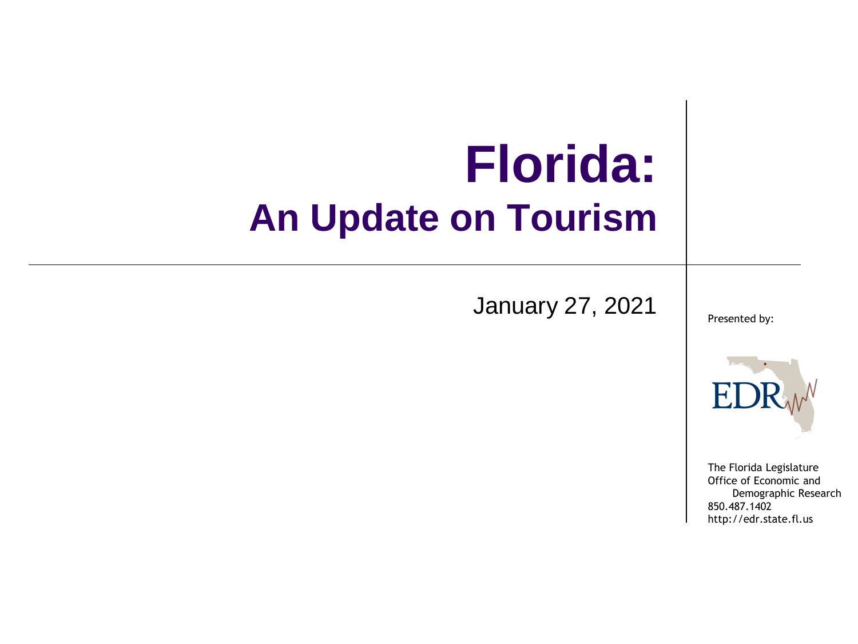### **Florida: An Update on Tourism**

January 27, 2021

Presented by:



The Florida Legislature Office of Economic and Demographic Research 850.487.1402 http://edr.state.fl.us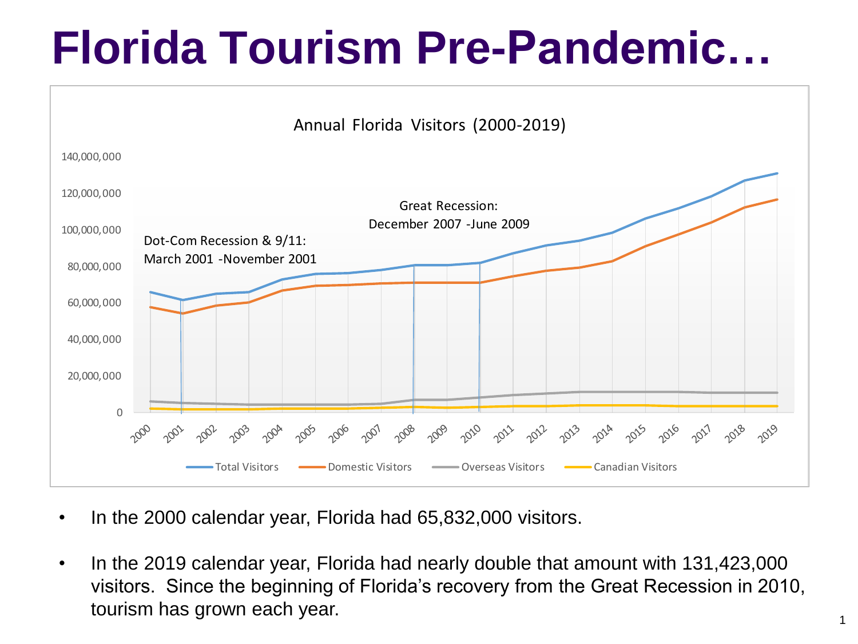## **Florida Tourism Pre-Pandemic…**



- In the 2000 calendar year, Florida had 65,832,000 visitors.
- In the 2019 calendar year, Florida had nearly double that amount with 131,423,000 visitors. Since the beginning of Florida's recovery from the Great Recession in 2010, tourism has grown each year.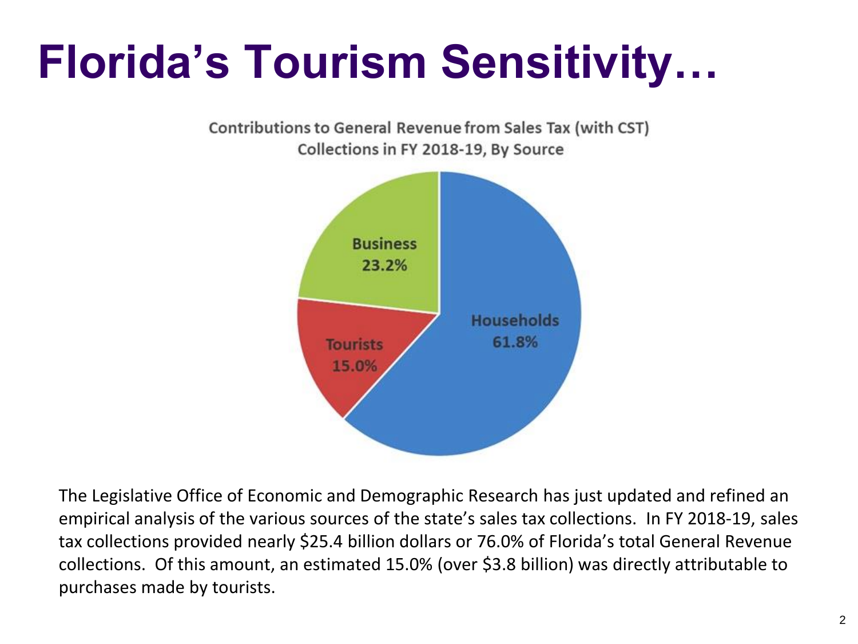# **Florida's Tourism Sensitivity…**



The Legislative Office of Economic and Demographic Research has just updated and refined an empirical analysis of the various sources of the state's sales tax collections. In FY 2018-19, sales tax collections provided nearly \$25.4 billion dollars or 76.0% of Florida's total General Revenue collections. Of this amount, an estimated 15.0% (over \$3.8 billion) was directly attributable to purchases made by tourists.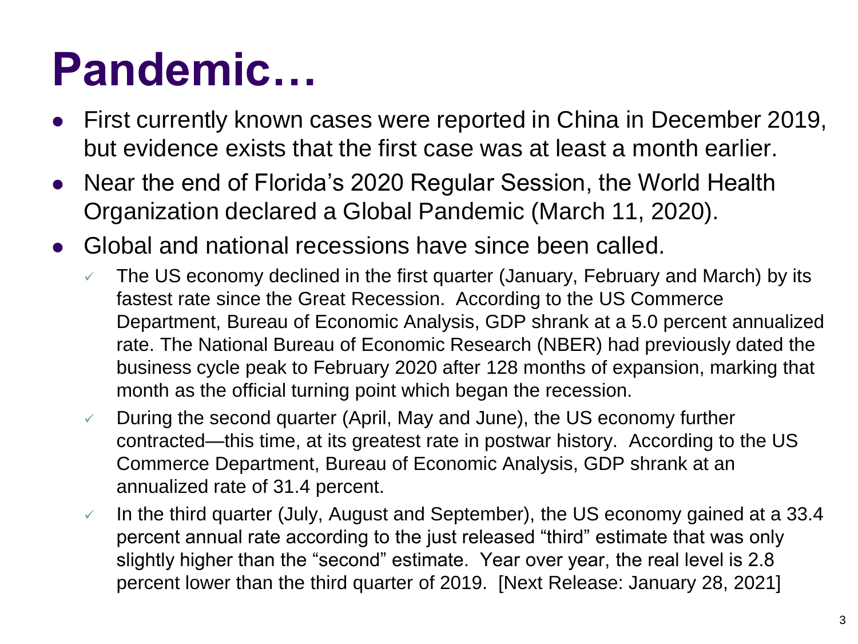## **Pandemic…**

- First currently known cases were reported in China in December 2019, but evidence exists that the first case was at least a month earlier.
- Near the end of Florida's 2020 Regular Session, the World Health Organization declared a Global Pandemic (March 11, 2020).
- Global and national recessions have since been called.
	- $\checkmark$  The US economy declined in the first quarter (January, February and March) by its fastest rate since the Great Recession. According to the US Commerce Department, Bureau of Economic Analysis, GDP shrank at a 5.0 percent annualized rate. The National Bureau of Economic Research (NBER) had previously dated the business cycle peak to February 2020 after 128 months of expansion, marking that month as the official turning point which began the recession.
	- $\vee$  During the second quarter (April, May and June), the US economy further contracted—this time, at its greatest rate in postwar history. According to the US Commerce Department, Bureau of Economic Analysis, GDP shrank at an annualized rate of 31.4 percent.
	- $\checkmark$  In the third quarter (July, August and September), the US economy gained at a 33.4 percent annual rate according to the just released "third" estimate that was only slightly higher than the "second" estimate. Year over year, the real level is 2.8 percent lower than the third quarter of 2019. [Next Release: January 28, 2021]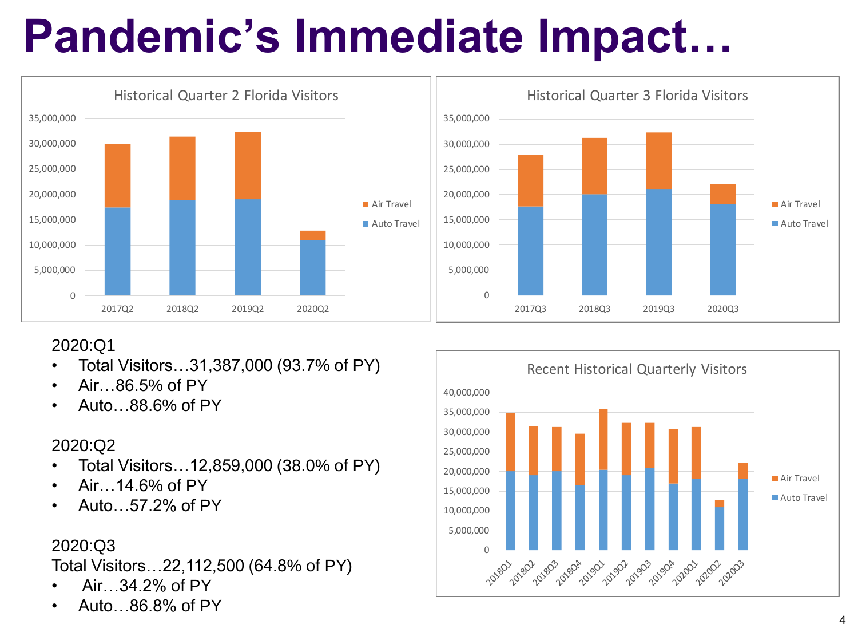# **Pandemic's Immediate Impact…**



#### $\Omega$ 5,000,000 10,000,000 15,000,000 20,000,000 25,000,000 30,000,000 35,000,000 2017Q3 2018Q3 2019Q3 2020Q3 Historical Quarter 3 Florida Visitors Air Travel Auto Travel

#### 2020:Q1

- Total Visitors…31,387,000 (93.7% of PY)
- Air…86.5% of PY
- Auto…88.6% of PY

#### 2020:Q2

- Total Visitors…12,859,000 (38.0% of PY)
- Air 14.6% of PY
- Auto…57.2% of PY

### 2020:Q3

Total Visitors…22,112,500 (64.8% of PY)

- Air…34.2% of PY
- Auto…86.8% of PY

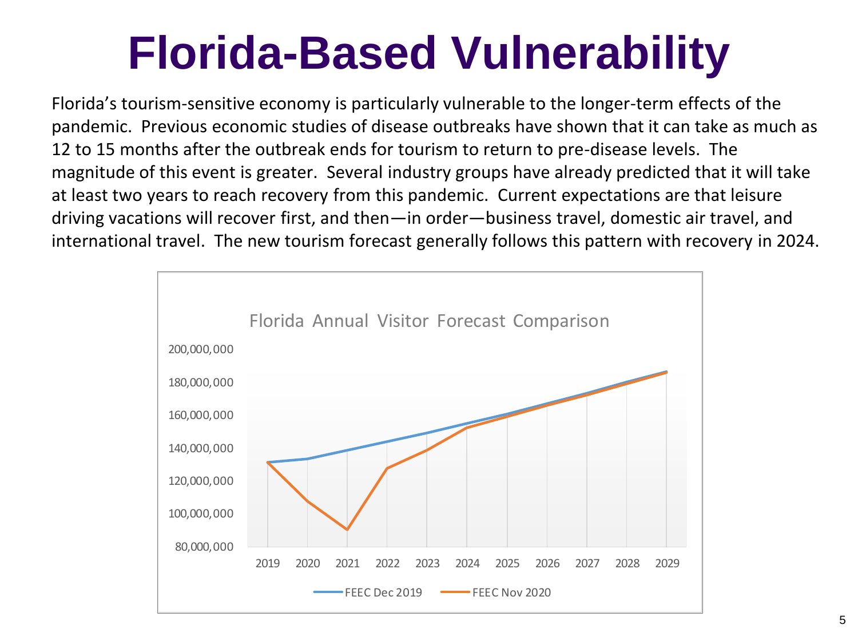## **Florida-Based Vulnerability**

Florida's tourism-sensitive economy is particularly vulnerable to the longer-term effects of the pandemic. Previous economic studies of disease outbreaks have shown that it can take as much as 12 to 15 months after the outbreak ends for tourism to return to pre-disease levels. The magnitude of this event is greater. Several industry groups have already predicted that it will take at least two years to reach recovery from this pandemic. Current expectations are that leisure driving vacations will recover first, and then—in order—business travel, domestic air travel, and international travel. The new tourism forecast generally follows this pattern with recovery in 2024.

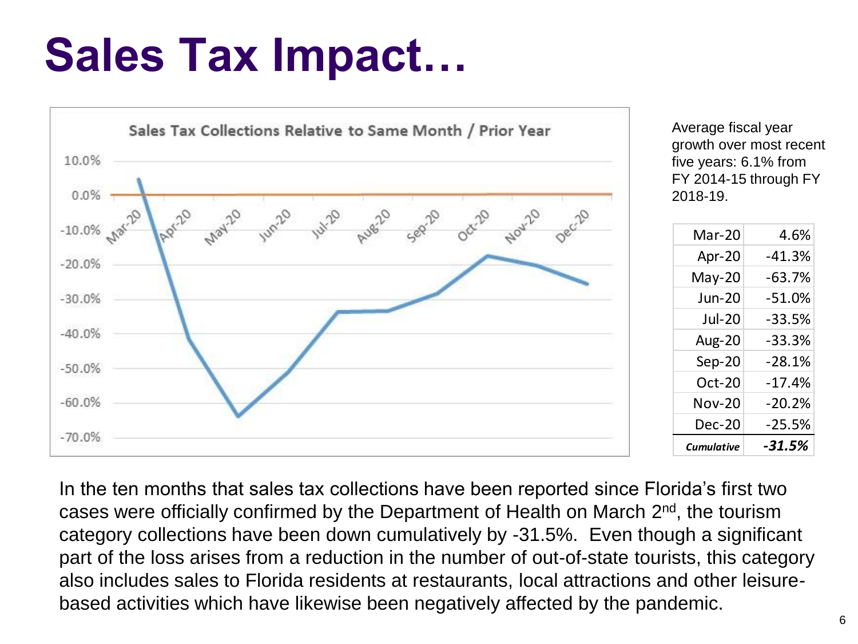## **Sales Tax Impact…**



Average fiscal year growth over most recent five years: 6.1% from FY 2014-15 through FY 2018-19.

| Mar-20        | 4.6%     |
|---------------|----------|
| Apr-20        | $-41.3%$ |
| May-20        | $-63.7%$ |
| Jun-20        | $-51.0%$ |
| Jul-20        | $-33.5%$ |
| <b>Aug-20</b> | $-33.3%$ |
| Sep-20        | $-28.1%$ |
| $Oct-20$      | $-17.4%$ |
| Nov-20        | $-20.2%$ |
| <b>Dec-20</b> | $-25.5%$ |
| Cumulative    | $-31.5%$ |

In the ten months that sales tax collections have been reported since Florida's first two cases were officially confirmed by the Department of Health on March 2<sup>nd</sup>, the tourism category collections have been down cumulatively by -31.5%. Even though a significant part of the loss arises from a reduction in the number of out-of-state tourists, this category also includes sales to Florida residents at restaurants, local attractions and other leisurebased activities which have likewise been negatively affected by the pandemic.